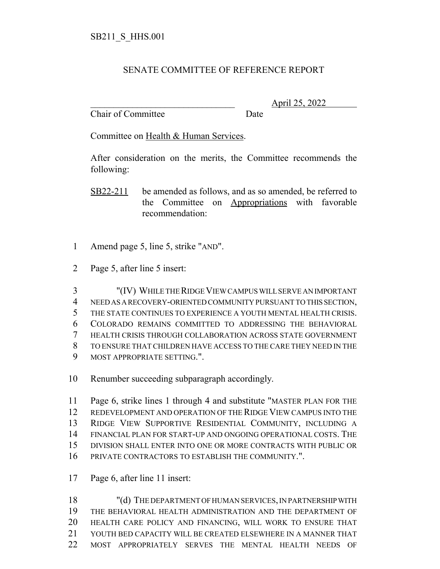## SENATE COMMITTEE OF REFERENCE REPORT

Chair of Committee Date

\_\_\_\_\_\_\_\_\_\_\_\_\_\_\_\_\_\_\_\_\_\_\_\_\_\_\_\_\_\_\_ April 25, 2022

Committee on Health & Human Services.

After consideration on the merits, the Committee recommends the following:

- SB22-211 be amended as follows, and as so amended, be referred to the Committee on Appropriations with favorable recommendation:
- Amend page 5, line 5, strike "AND".
- Page 5, after line 5 insert:

 "(IV) WHILE THE RIDGE VIEW CAMPUS WILL SERVE AN IMPORTANT NEED AS A RECOVERY-ORIENTED COMMUNITY PURSUANT TO THIS SECTION, THE STATE CONTINUES TO EXPERIENCE A YOUTH MENTAL HEALTH CRISIS. COLORADO REMAINS COMMITTED TO ADDRESSING THE BEHAVIORAL HEALTH CRISIS THROUGH COLLABORATION ACROSS STATE GOVERNMENT TO ENSURE THAT CHILDREN HAVE ACCESS TO THE CARE THEY NEED IN THE MOST APPROPRIATE SETTING.".

Renumber succeeding subparagraph accordingly.

 Page 6, strike lines 1 through 4 and substitute "MASTER PLAN FOR THE REDEVELOPMENT AND OPERATION OF THE RIDGE VIEW CAMPUS INTO THE RIDGE VIEW SUPPORTIVE RESIDENTIAL COMMUNITY, INCLUDING A FINANCIAL PLAN FOR START-UP AND ONGOING OPERATIONAL COSTS. THE DIVISION SHALL ENTER INTO ONE OR MORE CONTRACTS WITH PUBLIC OR PRIVATE CONTRACTORS TO ESTABLISH THE COMMUNITY.".

Page 6, after line 11 insert:

 "(d) THE DEPARTMENT OF HUMAN SERVICES, IN PARTNERSHIP WITH THE BEHAVIORAL HEALTH ADMINISTRATION AND THE DEPARTMENT OF HEALTH CARE POLICY AND FINANCING, WILL WORK TO ENSURE THAT YOUTH BED CAPACITY WILL BE CREATED ELSEWHERE IN A MANNER THAT MOST APPROPRIATELY SERVES THE MENTAL HEALTH NEEDS OF